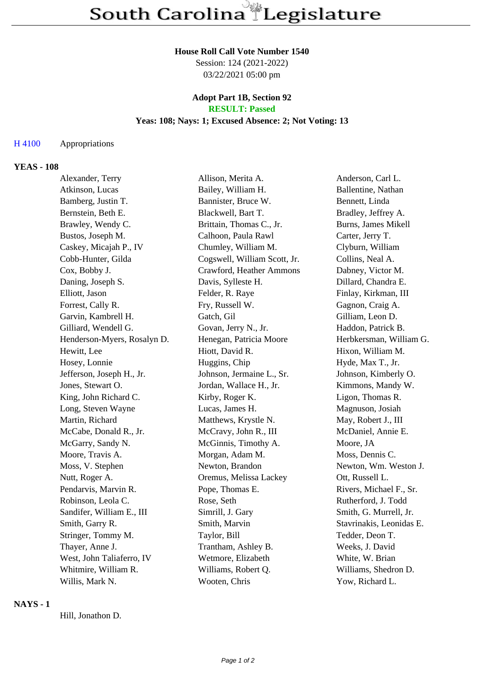# **House Roll Call Vote Number 1540**

Session: 124 (2021-2022) 03/22/2021 05:00 pm

#### **Adopt Part 1B, Section 92 RESULT: Passed**

# **Yeas: 108; Nays: 1; Excused Absence: 2; Not Voting: 13**

#### H 4100 Appropriations

# **YEAS - 108**

| Alexander, Terry            | Allison, Merita A.           | Anderson, Carl L.        |
|-----------------------------|------------------------------|--------------------------|
| Atkinson, Lucas             | Bailey, William H.           | Ballentine, Nathan       |
| Bamberg, Justin T.          | Bannister, Bruce W.          | Bennett, Linda           |
| Bernstein, Beth E.          | Blackwell, Bart T.           | Bradley, Jeffrey A.      |
| Brawley, Wendy C.           | Brittain, Thomas C., Jr.     | Burns, James Mikell      |
| Bustos, Joseph M.           | Calhoon, Paula Rawl          | Carter, Jerry T.         |
| Caskey, Micajah P., IV      | Chumley, William M.          | Clyburn, William         |
| Cobb-Hunter, Gilda          | Cogswell, William Scott, Jr. | Collins, Neal A.         |
| Cox, Bobby J.               | Crawford, Heather Ammons     | Dabney, Victor M.        |
| Daning, Joseph S.           | Davis, Sylleste H.           | Dillard, Chandra E.      |
| Elliott, Jason              | Felder, R. Raye              | Finlay, Kirkman, III     |
| Forrest, Cally R.           | Fry, Russell W.              | Gagnon, Craig A.         |
| Garvin, Kambrell H.         | Gatch, Gil                   | Gilliam, Leon D.         |
| Gilliard, Wendell G.        | Govan, Jerry N., Jr.         | Haddon, Patrick B.       |
| Henderson-Myers, Rosalyn D. | Henegan, Patricia Moore      | Herbkersman, William G.  |
| Hewitt, Lee                 | Hiott, David R.              | Hixon, William M.        |
| Hosey, Lonnie               | Huggins, Chip                | Hyde, Max T., Jr.        |
| Jefferson, Joseph H., Jr.   | Johnson, Jermaine L., Sr.    | Johnson, Kimberly O.     |
| Jones, Stewart O.           | Jordan, Wallace H., Jr.      | Kimmons, Mandy W.        |
| King, John Richard C.       | Kirby, Roger K.              | Ligon, Thomas R.         |
| Long, Steven Wayne          | Lucas, James H.              | Magnuson, Josiah         |
| Martin, Richard             | Matthews, Krystle N.         | May, Robert J., III      |
| McCabe, Donald R., Jr.      | McCravy, John R., III        | McDaniel, Annie E.       |
| McGarry, Sandy N.           | McGinnis, Timothy A.         | Moore, JA                |
| Moore, Travis A.            | Morgan, Adam M.              | Moss, Dennis C.          |
| Moss, V. Stephen            | Newton, Brandon              | Newton, Wm. Weston J.    |
| Nutt, Roger A.              | Oremus, Melissa Lackey       | Ott, Russell L.          |
| Pendarvis, Marvin R.        | Pope, Thomas E.              | Rivers, Michael F., Sr.  |
| Robinson, Leola C.          | Rose, Seth                   | Rutherford, J. Todd      |
| Sandifer, William E., III   | Simrill, J. Gary             | Smith, G. Murrell, Jr.   |
| Smith, Garry R.             | Smith, Marvin                | Stavrinakis, Leonidas E. |
| Stringer, Tommy M.          | Taylor, Bill                 | Tedder, Deon T.          |
| Thayer, Anne J.             | Trantham, Ashley B.          | Weeks, J. David          |
| West, John Taliaferro, IV   | Wetmore, Elizabeth           | White, W. Brian          |
| Whitmire, William R.        | Williams, Robert Q.          | Williams, Shedron D.     |
| Willis, Mark N.             | Wooten, Chris                | Yow, Richard L.          |

# **NAYS - 1**

Hill, Jonathon D.